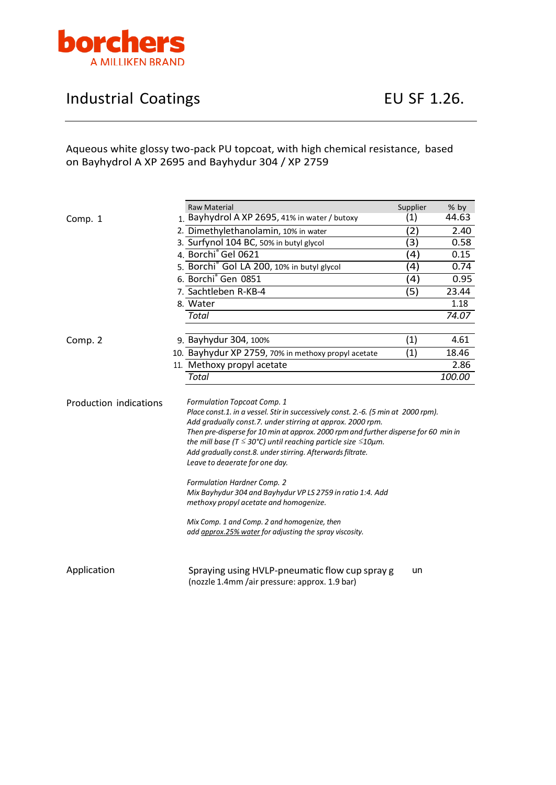

## Industrial Coatings **EU SF 1.26.**

## Aqueous white glossy two-pack PU topcoat, with high chemical resistance, based on Bayhydrol A XP 2695 and Bayhydur 304 / XP 2759

|                        |                                                                                                                                                                                                                                                                                                                                                                                                                                                                 | Raw Material                                                                                                                               | Supplier          | % by   |
|------------------------|-----------------------------------------------------------------------------------------------------------------------------------------------------------------------------------------------------------------------------------------------------------------------------------------------------------------------------------------------------------------------------------------------------------------------------------------------------------------|--------------------------------------------------------------------------------------------------------------------------------------------|-------------------|--------|
| Comp. 1                |                                                                                                                                                                                                                                                                                                                                                                                                                                                                 | 1. Bayhydrol A XP 2695, 41% in water / butoxy                                                                                              | (1)               | 44.63  |
|                        |                                                                                                                                                                                                                                                                                                                                                                                                                                                                 | 2. Dimethylethanolamin, 10% in water                                                                                                       | $\mathbf{2}$      | 2.40   |
|                        |                                                                                                                                                                                                                                                                                                                                                                                                                                                                 | 3. Surfynol 104 BC, 50% in butyl glycol                                                                                                    | (3)               | 0.58   |
|                        |                                                                                                                                                                                                                                                                                                                                                                                                                                                                 | 4. Borchi <sup>®</sup> Gel 0621                                                                                                            | $\left( 4\right)$ | 0.15   |
|                        |                                                                                                                                                                                                                                                                                                                                                                                                                                                                 | 5. Borchi <sup>®</sup> Gol LA 200, 10% in butyl glycol                                                                                     | (4)               | 0.74   |
|                        |                                                                                                                                                                                                                                                                                                                                                                                                                                                                 | 6. Borchi <sup>®</sup> Gen 0851                                                                                                            | (4)               | 0.95   |
|                        |                                                                                                                                                                                                                                                                                                                                                                                                                                                                 | 7. Sachtleben R-KB-4                                                                                                                       | (5)               | 23.44  |
|                        |                                                                                                                                                                                                                                                                                                                                                                                                                                                                 | 8. Water                                                                                                                                   |                   | 1.18   |
|                        |                                                                                                                                                                                                                                                                                                                                                                                                                                                                 | <b>Total</b>                                                                                                                               |                   | 74.07  |
| Comp. 2                |                                                                                                                                                                                                                                                                                                                                                                                                                                                                 | 9. Bayhydur 304, 100%                                                                                                                      | (1)               | 4.61   |
|                        |                                                                                                                                                                                                                                                                                                                                                                                                                                                                 | 10. Bayhydur XP 2759, 70% in methoxy propyl acetate                                                                                        | (1)               | 18.46  |
|                        |                                                                                                                                                                                                                                                                                                                                                                                                                                                                 | 11. Methoxy propyl acetate                                                                                                                 |                   | 2.86   |
|                        |                                                                                                                                                                                                                                                                                                                                                                                                                                                                 | <b>Total</b>                                                                                                                               |                   | 100.00 |
| Production indications | <b>Formulation Topcoat Comp. 1</b><br>Place const.1. in a vessel. Stir in successively const. 2.-6. (5 min at 2000 rpm).<br>Add gradually const.7. under stirring at approx. 2000 rpm.<br>Then pre-disperse for 10 min at approx. 2000 rpm and further disperse for 60 min in<br>the mill base (T $\leq$ 30°C) until reaching particle size $\leq$ 10 $\mu$ m.<br>Add gradually const.8. under stirring. Afterwards filtrate.<br>Leave to deaerate for one day. |                                                                                                                                            |                   |        |
|                        |                                                                                                                                                                                                                                                                                                                                                                                                                                                                 | <b>Formulation Hardner Comp. 2</b><br>Mix Bayhydur 304 and Bayhydur VP LS 2759 in ratio 1:4. Add<br>methoxy propyl acetate and homogenize. |                   |        |
|                        |                                                                                                                                                                                                                                                                                                                                                                                                                                                                 | Mix Comp. 1 and Comp. 2 and homogenize, then<br>add approx.25% water for adjusting the spray viscosity.                                    |                   |        |
| Application            |                                                                                                                                                                                                                                                                                                                                                                                                                                                                 | Spraying using HVLP-pneumatic flow cup spray g<br>(nozzle 1.4mm /air pressure: approx. 1.9 bar)                                            | un                |        |